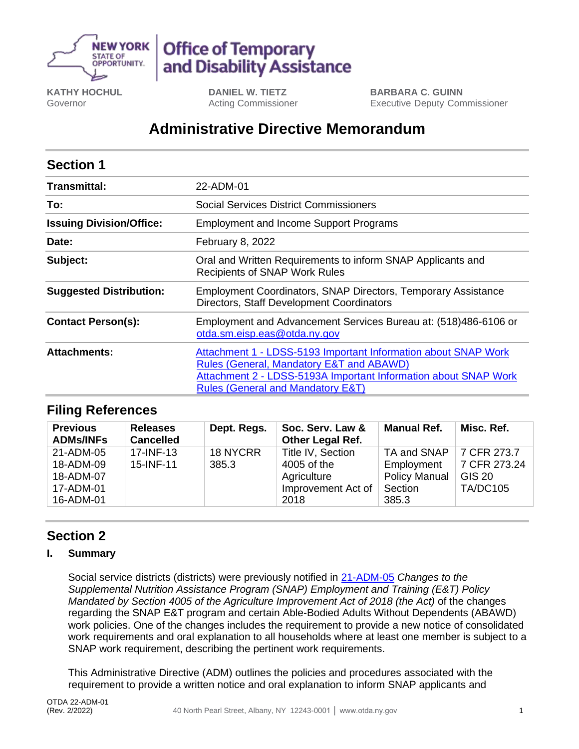

# **Office of Temporary** and Disability Assistance

**KATHY HOCHUL** Governor

**DANIEL W. TIETZ** Acting Commissioner

**BARBARA C. GUINN** Executive Deputy Commissioner

## **Administrative Directive Memorandum**

| <b>Section 1</b>                |                                                                                                                                                                                                                               |  |  |  |
|---------------------------------|-------------------------------------------------------------------------------------------------------------------------------------------------------------------------------------------------------------------------------|--|--|--|
| <b>Transmittal:</b>             | 22-ADM-01                                                                                                                                                                                                                     |  |  |  |
| To:                             | Social Services District Commissioners                                                                                                                                                                                        |  |  |  |
| <b>Issuing Division/Office:</b> | <b>Employment and Income Support Programs</b>                                                                                                                                                                                 |  |  |  |
| Date:                           | February 8, 2022                                                                                                                                                                                                              |  |  |  |
| Subject:                        | Oral and Written Requirements to inform SNAP Applicants and<br><b>Recipients of SNAP Work Rules</b>                                                                                                                           |  |  |  |
| <b>Suggested Distribution:</b>  | <b>Employment Coordinators, SNAP Directors, Temporary Assistance</b><br>Directors, Staff Development Coordinators                                                                                                             |  |  |  |
| <b>Contact Person(s):</b>       | Employment and Advancement Services Bureau at: (518)486-6106 or<br>otda.sm.eisp.eas@otda.ny.gov                                                                                                                               |  |  |  |
| <b>Attachments:</b>             | Attachment 1 - LDSS-5193 Important Information about SNAP Work<br>Rules (General, Mandatory E&T and ABAWD)<br>Attachment 2 - LDSS-5193A Important Information about SNAP Work<br><b>Rules (General and Mandatory E&amp;T)</b> |  |  |  |

## **Filing References**

| <b>Previous</b><br><b>ADMs/INFs</b>                           | <b>Releases</b><br><b>Cancelled</b> | Dept. Regs.       | Soc. Serv. Law &<br><b>Other Legal Ref.</b>                                   | <b>Manual Ref.</b>                                                    | Misc. Ref.                                                      |
|---------------------------------------------------------------|-------------------------------------|-------------------|-------------------------------------------------------------------------------|-----------------------------------------------------------------------|-----------------------------------------------------------------|
| 21-ADM-05<br>18-ADM-09<br>18-ADM-07<br>17-ADM-01<br>16-ADM-01 | 17-INF-13<br>15-INF-11              | 18 NYCRR<br>385.3 | Title IV, Section<br>4005 of the<br>Agriculture<br>Improvement Act of<br>2018 | TA and SNAP<br>Employment<br><b>Policy Manual</b><br>Section<br>385.3 | 7 CFR 273.7<br>7 CFR 273.24<br><b>GIS 20</b><br><b>TA/DC105</b> |

## **Section 2**

### **I. Summary**

Social service districts (districts) were previously notified in [21-ADM-05](https://otda.ny.gov/policy/directives/2021/ADM/21-ADM-05.pdf) *Changes to the Supplemental Nutrition Assistance Program (SNAP) Employment and Training (E&T) Policy Mandated by Section 4005 of the Agriculture Improvement Act of 2018 (the Act)* of the changes regarding the SNAP E&T program and certain Able-Bodied Adults Without Dependents (ABAWD) work policies. One of the changes includes the requirement to provide a new notice of consolidated work requirements and oral explanation to all households where at least one member is subject to a SNAP work requirement, describing the pertinent work requirements.

This Administrative Directive (ADM) outlines the policies and procedures associated with the requirement to provide a written notice and oral explanation to inform SNAP applicants and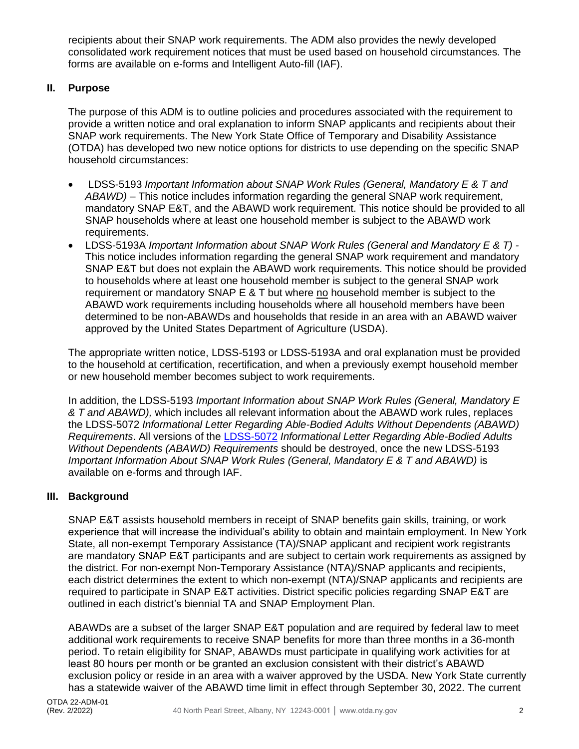recipients about their SNAP work requirements. The ADM also provides the newly developed consolidated work requirement notices that must be used based on household circumstances. The forms are available on e-forms and Intelligent Auto-fill (IAF).

#### **II. Purpose**

The purpose of this ADM is to outline policies and procedures associated with the requirement to provide a written notice and oral explanation to inform SNAP applicants and recipients about their SNAP work requirements. The New York State Office of Temporary and Disability Assistance (OTDA) has developed two new notice options for districts to use depending on the specific SNAP household circumstances:

- LDSS-5193 *Important Information about SNAP Work Rules (General, Mandatory E & T and ABAWD) –* This notice includes information regarding the general SNAP work requirement, mandatory SNAP E&T, and the ABAWD work requirement. This notice should be provided to all SNAP households where at least one household member is subject to the ABAWD work requirements.
- LDSS-5193A *Important Information about SNAP Work Rules (General and Mandatory E & T) -* This notice includes information regarding the general SNAP work requirement and mandatory SNAP E&T but does not explain the ABAWD work requirements. This notice should be provided to households where at least one household member is subject to the general SNAP work requirement or mandatory SNAP E & T but where no household member is subject to the ABAWD work requirements including households where all household members have been determined to be non-ABAWDs and households that reside in an area with an ABAWD waiver approved by the United States Department of Agriculture (USDA).

The appropriate written notice, LDSS-5193 or LDSS-5193A and oral explanation must be provided to the household at certification, recertification, and when a previously exempt household member or new household member becomes subject to work requirements.

In addition, the LDSS-5193 *Important Information about SNAP Work Rules (General, Mandatory E & T and ABAWD),* which includes all relevant information about the ABAWD work rules, replaces the LDSS-5072 *Informational Letter Regarding Able-Bodied Adults Without Dependents (ABAWD) Requirements*. All versions of the [LDSS-5072](http://otda.state.nyenet/ldss_eforms/eforms/5072.pdf) *Informational Letter Regarding Able-Bodied Adults Without Dependents (ABAWD) Requirements* should be destroyed, once the new LDSS-5193 *Important Information About SNAP Work Rules (General, Mandatory E & T and ABAWD)* is available on e-forms and through IAF.

#### **III. Background**

SNAP E&T assists household members in receipt of SNAP benefits gain skills, training, or work experience that will increase the individual's ability to obtain and maintain employment. In New York State, all non-exempt Temporary Assistance (TA)/SNAP applicant and recipient work registrants are mandatory SNAP E&T participants and are subject to certain work requirements as assigned by the district. For non-exempt Non-Temporary Assistance (NTA)/SNAP applicants and recipients, each district determines the extent to which non-exempt (NTA)/SNAP applicants and recipients are required to participate in SNAP E&T activities. District specific policies regarding SNAP E&T are outlined in each district's biennial TA and SNAP Employment Plan.

ABAWDs are a subset of the larger SNAP E&T population and are required by federal law to meet additional work requirements to receive SNAP benefits for more than three months in a 36-month period. To retain eligibility for SNAP, ABAWDs must participate in qualifying work activities for at least 80 hours per month or be granted an exclusion consistent with their district's ABAWD exclusion policy or reside in an area with a waiver approved by the USDA. New York State currently has a statewide waiver of the ABAWD time limit in effect through September 30, 2022. The current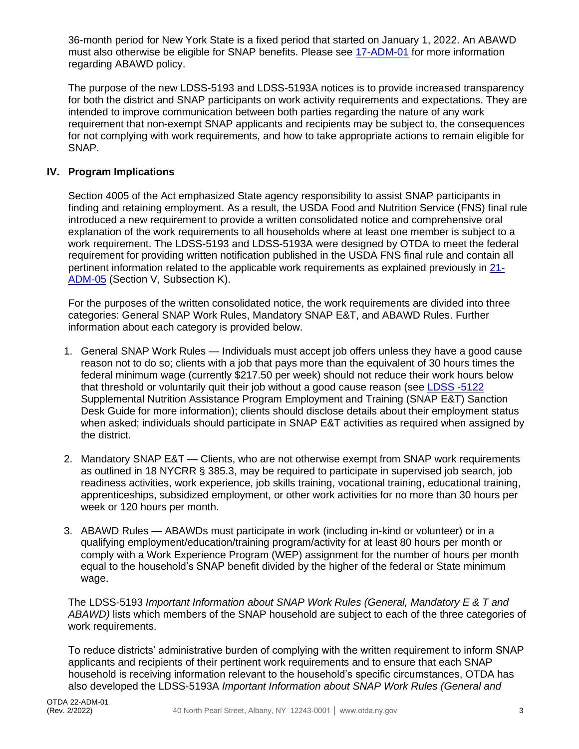36-month period for New York State is a fixed period that started on January 1, 2022. An ABAWD must also otherwise be eligible for SNAP benefits. Please see [17-ADM-01](https://otda.ny.gov/policy/directives/2017/ADM/17-ADM-01.pdf) for more information regarding ABAWD policy.

The purpose of the new LDSS-5193 and LDSS-5193A notices is to provide increased transparency for both the district and SNAP participants on work activity requirements and expectations. They are intended to improve communication between both parties regarding the nature of any work requirement that non-exempt SNAP applicants and recipients may be subject to, the consequences for not complying with work requirements, and how to take appropriate actions to remain eligible for SNAP.

#### **IV. Program Implications**

Section 4005 of the Act emphasized State agency responsibility to assist SNAP participants in finding and retaining employment. As a result, the USDA Food and Nutrition Service (FNS) final rule introduced a new requirement to provide a written consolidated notice and comprehensive oral explanation of the work requirements to all households where at least one member is subject to a work requirement. The LDSS-5193 and LDSS-5193A were designed by OTDA to meet the federal requirement for providing written notification published in the USDA FNS final rule and contain all pertinent information related to the applicable work requirements as explained previously in [21-](https://otda.ny.gov/policy/directives/2021/ADM/21-ADM-05.pdf) [ADM-05](https://otda.ny.gov/policy/directives/2021/ADM/21-ADM-05.pdf) (Section V, Subsection K).

For the purposes of the written consolidated notice, the work requirements are divided into three categories: General SNAP Work Rules, Mandatory SNAP E&T, and ABAWD Rules. Further information about each category is provided below.

- 1. General SNAP Work Rules Individuals must accept job offers unless they have a good cause reason not to do so; clients with a job that pays more than the equivalent of 30 hours times the federal minimum wage (currently \$217.50 per week) should not reduce their work hours below that threshold or voluntarily quit their job without a good cause reason (see [LDSS](http://otda.state.nyenet/ldss_eforms/eforms/5122.pdf) -5122 Supplemental Nutrition Assistance Program Employment and Training (SNAP E&T) Sanction Desk Guide for more information); clients should disclose details about their employment status when asked; individuals should participate in SNAP E&T activities as required when assigned by the district.
- 2. Mandatory SNAP E&T Clients, who are not otherwise exempt from SNAP work requirements as outlined in 18 NYCRR § 385.3, may be required to participate in supervised job search, job readiness activities, work experience, job skills training, vocational training, educational training, apprenticeships, subsidized employment, or other work activities for no more than 30 hours per week or 120 hours per month.
- 3. ABAWD Rules ABAWDs must participate in work (including in-kind or volunteer) or in a qualifying employment/education/training program/activity for at least 80 hours per month or comply with a Work Experience Program (WEP) assignment for the number of hours per month equal to the household's SNAP benefit divided by the higher of the federal or State minimum wage.

The LDSS-5193 *Important Information about SNAP Work Rules (General, Mandatory E & T and ABAWD)* lists which members of the SNAP household are subject to each of the three categories of work requirements.

To reduce districts' administrative burden of complying with the written requirement to inform SNAP applicants and recipients of their pertinent work requirements and to ensure that each SNAP household is receiving information relevant to the household's specific circumstances, OTDA has also developed the LDSS-5193A *Important Information about SNAP Work Rules (General and*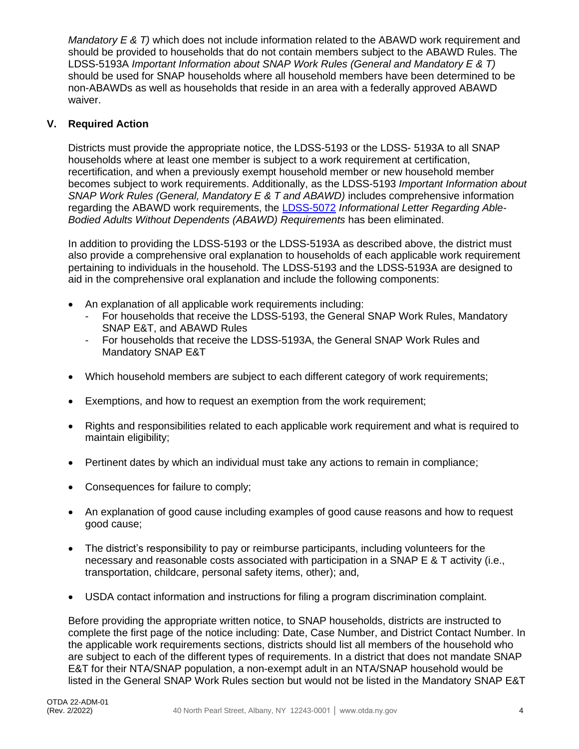*Mandatory E & T)* which does not include information related to the ABAWD work requirement and should be provided to households that do not contain members subject to the ABAWD Rules. The LDSS-5193A *Important Information about SNAP Work Rules (General and Mandatory E & T)*  should be used for SNAP households where all household members have been determined to be non-ABAWDs as well as households that reside in an area with a federally approved ABAWD waiver.

#### **V. Required Action**

Districts must provide the appropriate notice, the LDSS-5193 or the LDSS- 5193A to all SNAP households where at least one member is subject to a work requirement at certification, recertification, and when a previously exempt household member or new household member becomes subject to work requirements. Additionally, as the LDSS-5193 *Important Information about SNAP Work Rules (General, Mandatory E & T and ABAWD)* includes comprehensive information regarding the ABAWD work requirements, the [LDSS-5072](http://otda.state.nyenet/ldss_eforms/eforms/5072.pdf) *Informational Letter Regarding Able-Bodied Adults Without Dependents (ABAWD) Requirements* has been eliminated.

In addition to providing the LDSS-5193 or the LDSS-5193A as described above, the district must also provide a comprehensive oral explanation to households of each applicable work requirement pertaining to individuals in the household. The LDSS-5193 and the LDSS-5193A are designed to aid in the comprehensive oral explanation and include the following components:

- An explanation of all applicable work requirements including:
	- For households that receive the LDSS-5193, the General SNAP Work Rules, Mandatory SNAP E&T, and ABAWD Rules
	- For households that receive the LDSS-5193A, the General SNAP Work Rules and Mandatory SNAP E&T
- Which household members are subject to each different category of work requirements;
- Exemptions, and how to request an exemption from the work requirement;
- Rights and responsibilities related to each applicable work requirement and what is required to maintain eligibility;
- Pertinent dates by which an individual must take any actions to remain in compliance;
- Consequences for failure to comply;
- An explanation of good cause including examples of good cause reasons and how to request good cause;
- The district's responsibility to pay or reimburse participants, including volunteers for the necessary and reasonable costs associated with participation in a SNAP E & T activity (i.e., transportation, childcare, personal safety items, other); and,
- USDA contact information and instructions for filing a program discrimination complaint.

Before providing the appropriate written notice, to SNAP households, districts are instructed to complete the first page of the notice including: Date, Case Number, and District Contact Number. In the applicable work requirements sections, districts should list all members of the household who are subject to each of the different types of requirements. In a district that does not mandate SNAP E&T for their NTA/SNAP population, a non-exempt adult in an NTA/SNAP household would be listed in the General SNAP Work Rules section but would not be listed in the Mandatory SNAP E&T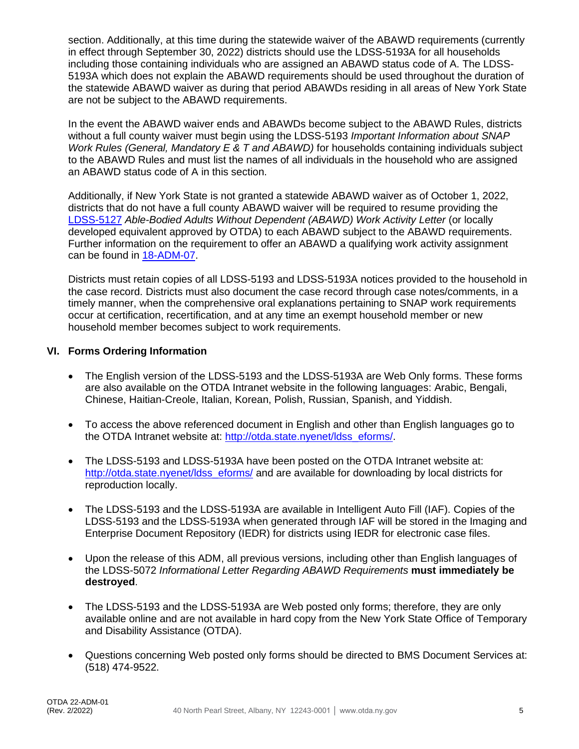section. Additionally, at this time during the statewide waiver of the ABAWD requirements (currently in effect through September 30, 2022) districts should use the LDSS-5193A for all households including those containing individuals who are assigned an ABAWD status code of A. The LDSS-5193A which does not explain the ABAWD requirements should be used throughout the duration of the statewide ABAWD waiver as during that period ABAWDs residing in all areas of New York State are not be subject to the ABAWD requirements.

In the event the ABAWD waiver ends and ABAWDs become subject to the ABAWD Rules, districts without a full county waiver must begin using the LDSS-5193 *Important Information about SNAP Work Rules (General, Mandatory E & T and ABAWD)* for households containing individuals subject to the ABAWD Rules and must list the names of all individuals in the household who are assigned an ABAWD status code of A in this section.

Additionally, if New York State is not granted a statewide ABAWD waiver as of October 1, 2022, districts that do not have a full county ABAWD waiver will be required to resume providing the [LDSS-5127](http://otda.state.nyenet/ldss_eforms/eforms/5127.pdf) *Able-Bodied Adults Without Dependent (ABAWD) Work Activity Letter* (or locally developed equivalent approved by OTDA) to each ABAWD subject to the ABAWD requirements. Further information on the requirement to offer an ABAWD a qualifying work activity assignment can be found in [18-ADM-07.](https://otda.ny.gov/policy/directives/2018/ADM/18-ADM-07.pdf)

Districts must retain copies of all LDSS-5193 and LDSS-5193A notices provided to the household in the case record. Districts must also document the case record through case notes/comments, in a timely manner, when the comprehensive oral explanations pertaining to SNAP work requirements occur at certification, recertification, and at any time an exempt household member or new household member becomes subject to work requirements.

#### **VI. Forms Ordering Information**

- The English version of the LDSS-5193 and the LDSS-5193A are Web Only forms. These forms are also available on the OTDA Intranet website in the following languages: Arabic, Bengali, Chinese, Haitian-Creole, Italian, Korean, Polish, Russian, Spanish, and Yiddish.
- To access the above referenced document in English and other than English languages go to the OTDA Intranet website at: [http://otda.state.nyenet/ldss\\_eforms/.](http://otda.state.nyenet/ldss_eforms/)
- The LDSS-5193 and LDSS-5193A have been posted on the OTDA Intranet website at: [http://otda.state.nyenet/ldss\\_eforms/](http://otda.state.nyenet/ldss_eforms/) and are available for downloading by local districts for reproduction locally.
- The LDSS-5193 and the LDSS-5193A are available in Intelligent Auto Fill (IAF). Copies of the LDSS-5193 and the LDSS-5193A when generated through IAF will be stored in the Imaging and Enterprise Document Repository (IEDR) for districts using IEDR for electronic case files.
- Upon the release of this ADM, all previous versions, including other than English languages of the LDSS-5072 *Informational Letter Regarding ABAWD Requirements* **must immediately be destroyed**.
- The LDSS-5193 and the LDSS-5193A are Web posted only forms; therefore, they are only available online and are not available in hard copy from the New York State Office of Temporary and Disability Assistance (OTDA).
- Questions concerning Web posted only forms should be directed to BMS Document Services at: (518) 474-9522.